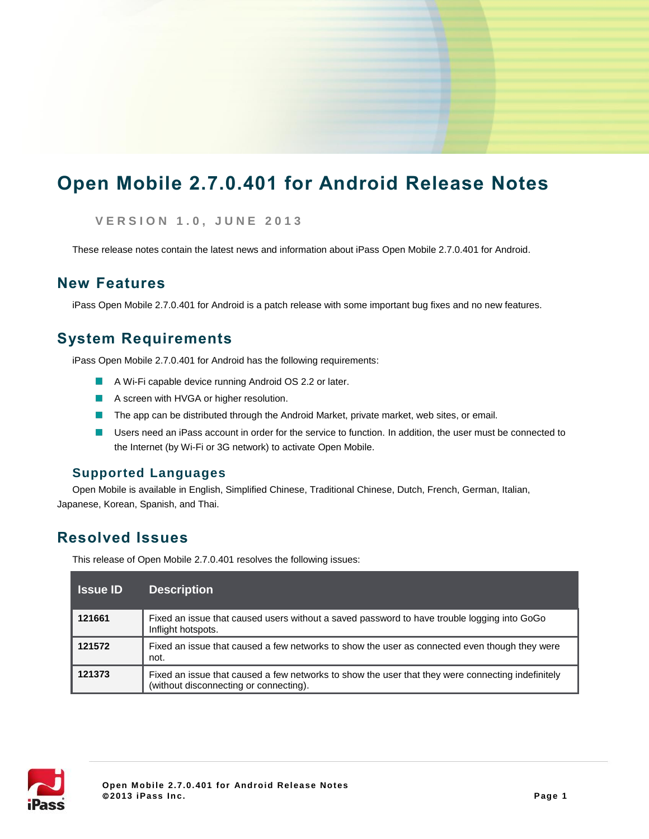# **Open Mobile 2.7.0.401 for Android Release Notes**

**V E R S I O N 1 . 0 , J U N E 2013**

These release notes contain the latest news and information about iPass Open Mobile 2.7.0.401 for Android.

## **New Features**

iPass Open Mobile 2.7.0.401 for Android is a patch release with some important bug fixes and no new features.

## **System Requirements**

iPass Open Mobile 2.7.0.401 for Android has the following requirements:

- A Wi-Fi capable device running Android OS 2.2 or later.
- A screen with HVGA or higher resolution.
- The app can be distributed through the Android Market, private market, web sites, or email.  $\sim$
- Users need an iPass account in order for the service to function. In addition, the user must be connected to the Internet (by Wi-Fi or 3G network) to activate Open Mobile.

### **Supported Languages**

Open Mobile is available in English, Simplified Chinese, Traditional Chinese, Dutch, French, German, Italian, Japanese, Korean, Spanish, and Thai.

## **Resolved Issues**

This release of Open Mobile 2.7.0.401 resolves the following issues:

| <b>Issue ID</b> | <b>Description</b>                                                                                                                          |
|-----------------|---------------------------------------------------------------------------------------------------------------------------------------------|
| 121661          | Fixed an issue that caused users without a saved password to have trouble logging into GoGo<br>Inflight hotspots.                           |
| 121572          | Fixed an issue that caused a few networks to show the user as connected even though they were<br>not.                                       |
| 121373          | Fixed an issue that caused a few networks to show the user that they were connecting indefinitely<br>(without disconnecting or connecting). |

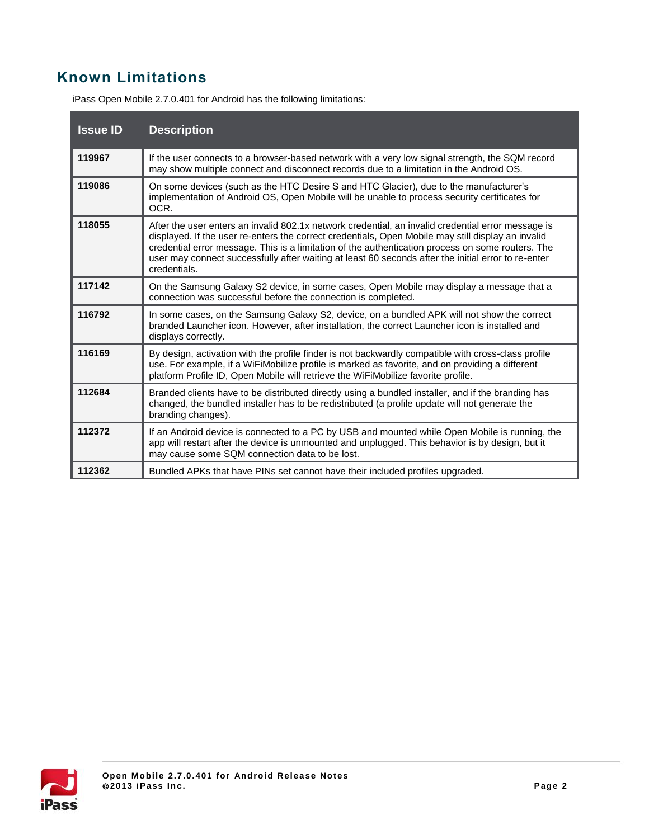## **Known Limitations**

| <b>Issue ID</b> | <b>Description</b>                                                                                                                                                                                                                                                                                                                                                                                                                   |
|-----------------|--------------------------------------------------------------------------------------------------------------------------------------------------------------------------------------------------------------------------------------------------------------------------------------------------------------------------------------------------------------------------------------------------------------------------------------|
| 119967          | If the user connects to a browser-based network with a very low signal strength, the SQM record<br>may show multiple connect and disconnect records due to a limitation in the Android OS.                                                                                                                                                                                                                                           |
| 119086          | On some devices (such as the HTC Desire S and HTC Glacier), due to the manufacturer's<br>implementation of Android OS, Open Mobile will be unable to process security certificates for<br>OCR.                                                                                                                                                                                                                                       |
| 118055          | After the user enters an invalid 802.1x network credential, an invalid credential error message is<br>displayed. If the user re-enters the correct credentials, Open Mobile may still display an invalid<br>credential error message. This is a limitation of the authentication process on some routers. The<br>user may connect successfully after waiting at least 60 seconds after the initial error to re-enter<br>credentials. |
| 117142          | On the Samsung Galaxy S2 device, in some cases, Open Mobile may display a message that a<br>connection was successful before the connection is completed.                                                                                                                                                                                                                                                                            |
| 116792          | In some cases, on the Samsung Galaxy S2, device, on a bundled APK will not show the correct<br>branded Launcher icon. However, after installation, the correct Launcher icon is installed and<br>displays correctly.                                                                                                                                                                                                                 |
| 116169          | By design, activation with the profile finder is not backwardly compatible with cross-class profile<br>use. For example, if a WiFiMobilize profile is marked as favorite, and on providing a different<br>platform Profile ID, Open Mobile will retrieve the WiFiMobilize favorite profile.                                                                                                                                          |
| 112684          | Branded clients have to be distributed directly using a bundled installer, and if the branding has<br>changed, the bundled installer has to be redistributed (a profile update will not generate the<br>branding changes).                                                                                                                                                                                                           |
| 112372          | If an Android device is connected to a PC by USB and mounted while Open Mobile is running, the<br>app will restart after the device is unmounted and unplugged. This behavior is by design, but it<br>may cause some SQM connection data to be lost.                                                                                                                                                                                 |
| 112362          | Bundled APKs that have PINs set cannot have their included profiles upgraded.                                                                                                                                                                                                                                                                                                                                                        |

iPass Open Mobile 2.7.0.401 for Android has the following limitations: